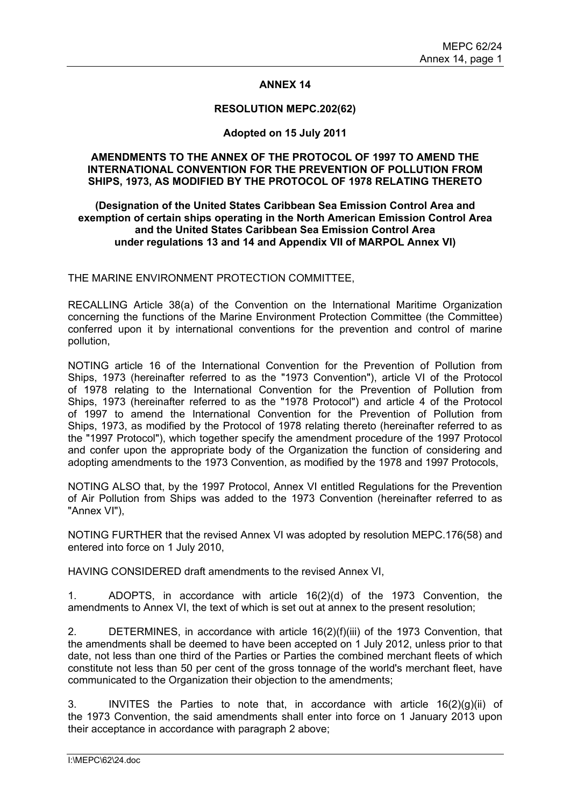### **ANNEX 14**

#### **RESOLUTION MEPC.202(62)**

#### **Adopted on 15 July 2011**

#### **AMENDMENTS TO THE ANNEX OF THE PROTOCOL OF 1997 TO AMEND THE INTERNATIONAL CONVENTION FOR THE PREVENTION OF POLLUTION FROM SHIPS, 1973, AS MODIFIED BY THE PROTOCOL OF 1978 RELATING THERETO**

#### **(Designation of the United States Caribbean Sea Emission Control Area and exemption of certain ships operating in the North American Emission Control Area and the United States Caribbean Sea Emission Control Area under regulations 13 and 14 and Appendix VII of MARPOL Annex VI)**

THE MARINE ENVIRONMENT PROTECTION COMMITTEE,

RECALLING Article 38(a) of the Convention on the International Maritime Organization concerning the functions of the Marine Environment Protection Committee (the Committee) conferred upon it by international conventions for the prevention and control of marine pollution,

NOTING article 16 of the International Convention for the Prevention of Pollution from Ships, 1973 (hereinafter referred to as the "1973 Convention"), article VI of the Protocol of 1978 relating to the International Convention for the Prevention of Pollution from Ships, 1973 (hereinafter referred to as the "1978 Protocol") and article 4 of the Protocol of 1997 to amend the International Convention for the Prevention of Pollution from Ships, 1973, as modified by the Protocol of 1978 relating thereto (hereinafter referred to as the "1997 Protocol"), which together specify the amendment procedure of the 1997 Protocol and confer upon the appropriate body of the Organization the function of considering and adopting amendments to the 1973 Convention, as modified by the 1978 and 1997 Protocols,

NOTING ALSO that, by the 1997 Protocol, Annex VI entitled Regulations for the Prevention of Air Pollution from Ships was added to the 1973 Convention (hereinafter referred to as "Annex VI"),

NOTING FURTHER that the revised Annex VI was adopted by resolution MEPC.176(58) and entered into force on 1 July 2010,

HAVING CONSIDERED draft amendments to the revised Annex VI,

1. ADOPTS, in accordance with article 16(2)(d) of the 1973 Convention, the amendments to Annex VI, the text of which is set out at annex to the present resolution;

2. DETERMINES, in accordance with article 16(2)(f)(iii) of the 1973 Convention, that the amendments shall be deemed to have been accepted on 1 July 2012, unless prior to that date, not less than one third of the Parties or Parties the combined merchant fleets of which constitute not less than 50 per cent of the gross tonnage of the world's merchant fleet, have communicated to the Organization their objection to the amendments;

3. INVITES the Parties to note that, in accordance with article 16(2)(g)(ii) of the 1973 Convention, the said amendments shall enter into force on 1 January 2013 upon their acceptance in accordance with paragraph 2 above;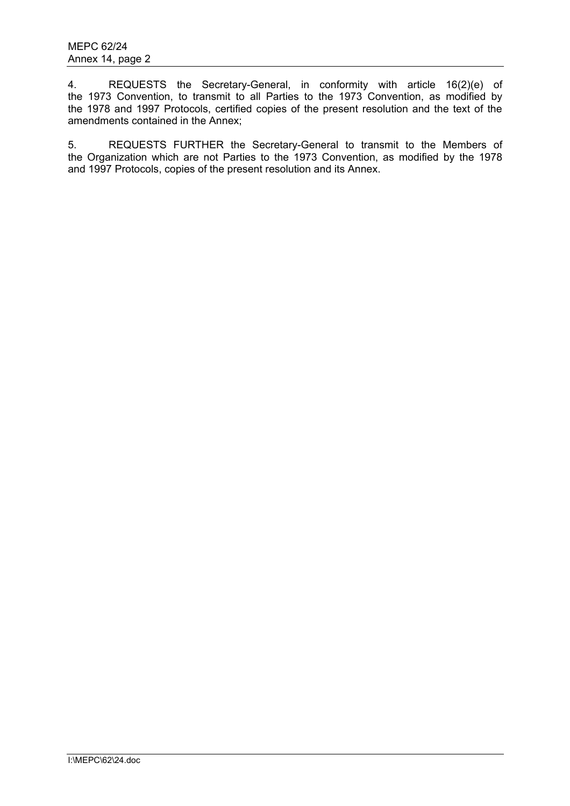4. REQUESTS the Secretary-General, in conformity with article 16(2)(e) of the 1973 Convention, to transmit to all Parties to the 1973 Convention, as modified by the 1978 and 1997 Protocols, certified copies of the present resolution and the text of the amendments contained in the Annex;

5. REQUESTS FURTHER the Secretary-General to transmit to the Members of the Organization which are not Parties to the 1973 Convention, as modified by the 1978 and 1997 Protocols, copies of the present resolution and its Annex.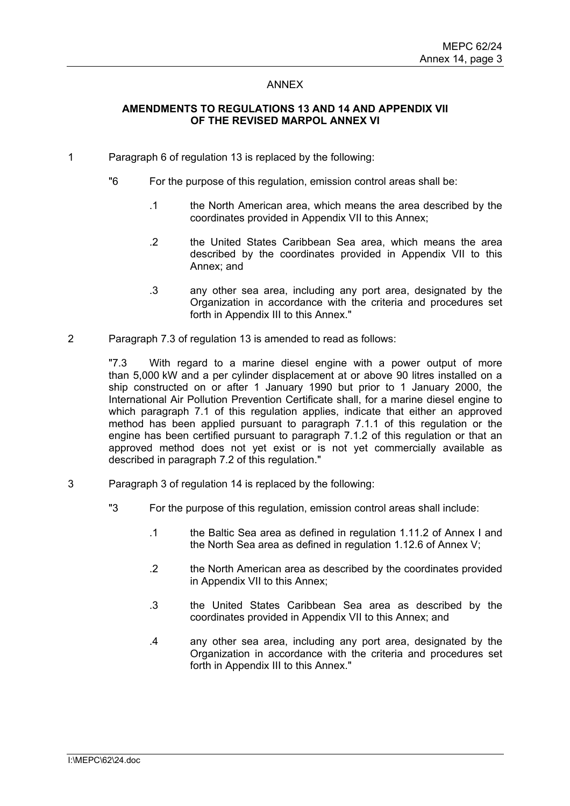#### ANNEX

## **AMENDMENTS TO REGULATIONS 13 AND 14 AND APPENDIX VII OF THE REVISED MARPOL ANNEX VI**

- 1 Paragraph 6 of regulation 13 is replaced by the following:
	- "6 For the purpose of this regulation, emission control areas shall be:
		- .1 the North American area, which means the area described by the coordinates provided in Appendix VII to this Annex;
		- .2 the United States Caribbean Sea area, which means the area described by the coordinates provided in Appendix VII to this Annex; and
		- .3 any other sea area, including any port area, designated by the Organization in accordance with the criteria and procedures set forth in Appendix III to this Annex."
- 2 Paragraph 7.3 of regulation 13 is amended to read as follows:

"7.3 With regard to a marine diesel engine with a power output of more than 5,000 kW and a per cylinder displacement at or above 90 litres installed on a ship constructed on or after 1 January 1990 but prior to 1 January 2000, the International Air Pollution Prevention Certificate shall, for a marine diesel engine to which paragraph 7.1 of this regulation applies, indicate that either an approved method has been applied pursuant to paragraph 7.1.1 of this regulation or the engine has been certified pursuant to paragraph 7.1.2 of this regulation or that an approved method does not yet exist or is not yet commercially available as described in paragraph 7.2 of this regulation."

- 3 Paragraph 3 of regulation 14 is replaced by the following:
	- "3 For the purpose of this regulation, emission control areas shall include:
		- .1 the Baltic Sea area as defined in regulation 1.11.2 of Annex I and the North Sea area as defined in regulation 1.12.6 of Annex V;
		- .2 the North American area as described by the coordinates provided in Appendix VII to this Annex;
		- .3 the United States Caribbean Sea area as described by the coordinates provided in Appendix VII to this Annex; and
		- .4 any other sea area, including any port area, designated by the Organization in accordance with the criteria and procedures set forth in Appendix III to this Annex."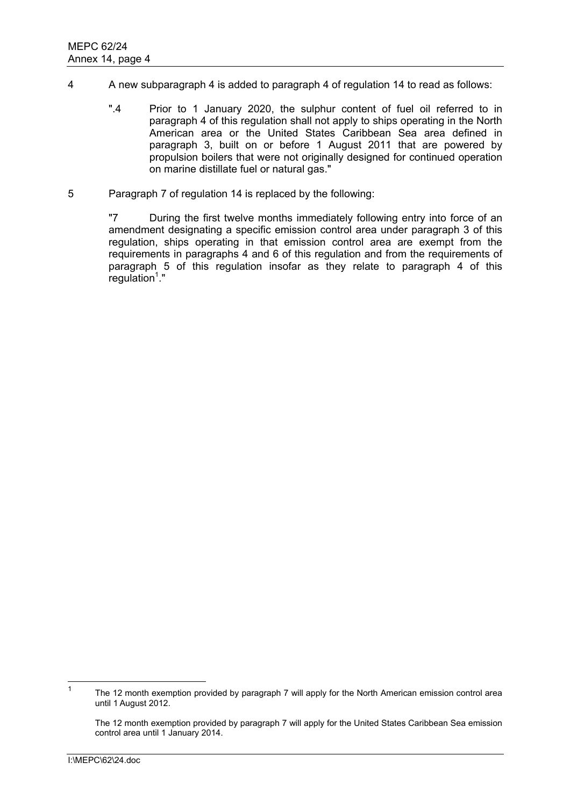- 4 A new subparagraph 4 is added to paragraph 4 of regulation 14 to read as follows:
	- ".4 Prior to 1 January 2020, the sulphur content of fuel oil referred to in paragraph 4 of this regulation shall not apply to ships operating in the North American area or the United States Caribbean Sea area defined in paragraph 3, built on or before 1 August 2011 that are powered by propulsion boilers that were not originally designed for continued operation on marine distillate fuel or natural gas."
- 5 Paragraph 7 of regulation 14 is replaced by the following:

"7 During the first twelve months immediately following entry into force of an amendment designating a specific emission control area under paragraph 3 of this regulation, ships operating in that emission control area are exempt from the requirements in paragraphs 4 and 6 of this regulation and from the requirements of paragraph 5 of this regulation insofar as they relate to paragraph 4 of this  $regulation<sup>1</sup>$ ."

 $\frac{1}{1}$  The 12 month exemption provided by paragraph 7 will apply for the North American emission control area until 1 August 2012.

The 12 month exemption provided by paragraph 7 will apply for the United States Caribbean Sea emission control area until 1 January 2014.